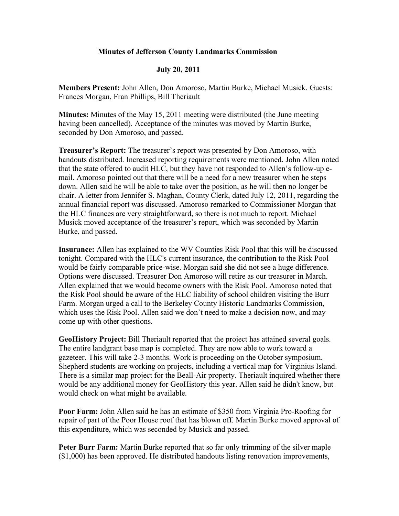## **Minutes of Jefferson County Landmarks Commission**

## **July 20, 2011**

**Members Present:** John Allen, Don Amoroso, Martin Burke, Michael Musick. Guests: Frances Morgan, Fran Phillips, Bill Theriault

**Minutes:** Minutes of the May 15, 2011 meeting were distributed (the June meeting having been cancelled). Acceptance of the minutes was moved by Martin Burke, seconded by Don Amoroso, and passed.

**Treasurer's Report:** The treasurer's report was presented by Don Amoroso, with handouts distributed. Increased reporting requirements were mentioned. John Allen noted that the state offered to audit HLC, but they have not responded to Allen's follow-up email. Amoroso pointed out that there will be a need for a new treasurer when he steps down. Allen said he will be able to take over the position, as he will then no longer be chair. A letter from Jennifer S. Maghan, County Clerk, dated July 12, 2011, regarding the annual financial report was discussed. Amoroso remarked to Commissioner Morgan that the HLC finances are very straightforward, so there is not much to report. Michael Musick moved acceptance of the treasurer's report, which was seconded by Martin Burke, and passed.

**Insurance:** Allen has explained to the WV Counties Risk Pool that this will be discussed tonight. Compared with the HLC's current insurance, the contribution to the Risk Pool would be fairly comparable price-wise. Morgan said she did not see a huge difference. Options were discussed. Treasurer Don Amoroso will retire as our treasurer in March. Allen explained that we would become owners with the Risk Pool. Amoroso noted that the Risk Pool should be aware of the HLC liability of school children visiting the Burr Farm. Morgan urged a call to the Berkeley County Historic Landmarks Commission, which uses the Risk Pool. Allen said we don't need to make a decision now, and may come up with other questions.

**GeoHistory Project:** Bill Theriault reported that the project has attained several goals. The entire landgrant base map is completed. They are now able to work toward a gazeteer. This will take 2-3 months. Work is proceeding on the October symposium. Shepherd students are working on projects, including a vertical map for Virginius Island. There is a similar map project for the Beall-Air property. Theriault inquired whether there would be any additional money for GeoHistory this year. Allen said he didn't know, but would check on what might be available.

**Poor Farm:** John Allen said he has an estimate of \$350 from Virginia Pro-Roofing for repair of part of the Poor House roof that has blown off. Martin Burke moved approval of this expenditure, which was seconded by Musick and passed.

**Peter Burr Farm:** Martin Burke reported that so far only trimming of the silver maple (\$1,000) has been approved. He distributed handouts listing renovation improvements,